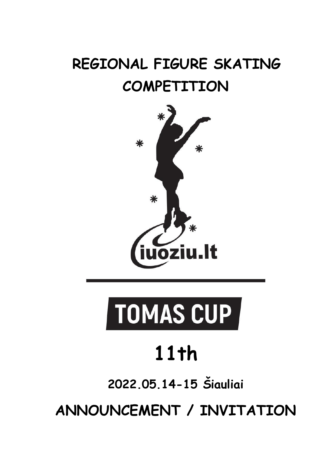# **REGIONAL FIGURE SKATING COMPETITION**



# TOMAS CUP

# **11th**

**2022.05.14-15 Šiauliai**

**ANNOUNCEMENT / INVITATION**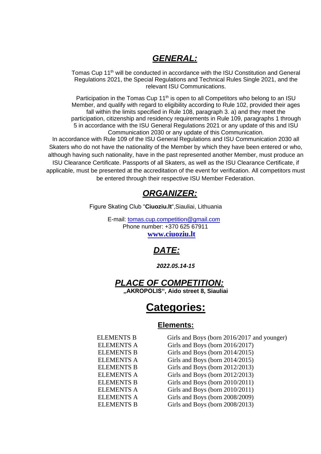#### *GENERAL:*

Tomas Cup 11<sup>th</sup> will be conducted in accordance with the ISU Constitution and General Regulations 2021, the Special Regulations and Technical Rules Single 2021, and the relevant ISU Communications.

Participation in the Tomas Cup 11<sup>th</sup> is open to all Competitors who belong to an ISU Member, and qualify with regard to eligibility according to Rule 102, provided their ages fall within the limits specified in Rule 108, paragraph 3. a) and they meet the participation, citizenship and residency requirements in Rule 109, paragraphs 1 through 5 in accordance with the ISU General Regulations 2021 or any update of this and ISU Communication 2030 or any update of this Communication.

In accordance with Rule 109 of the ISU General Regulations and ISU Communication 2030 all Skaters who do not have the nationality of the Member by which they have been entered or who, although having such nationality, have in the past represented another Member, must produce an ISU Clearance Certificate. Passports of all Skaters, as well as the ISU Clearance Certificate, if applicable, must be presented at the accreditation of the event for verification. All competitors must be entered through their respective ISU Member Federation.

#### *ORGANIZER:*

Figure Skating Club "**Ciuoziu.lt**",Siauliai, Lithuania

 E-mail: tomas.cup.competition@gmail.com Phone number: +370 625 67911 **[www.ciuoziu.lt](http://www.kristalice.lv/)**

### *DATE:*

#### *2022.05.14-15*

#### *PLACE OF COMPETITION:* **"AKROPOLIS", Aido street 8, Siauliai**

# **Categories:**

#### **Elements:**

| <b>ELEMENTS B</b> | Girls and Boys (born 2016/2017 and younger) |
|-------------------|---------------------------------------------|
| <b>ELEMENTS A</b> | Girls and Boys (born 2016/2017)             |
| <b>ELEMENTS B</b> | Girls and Boys (born 2014/2015)             |
| <b>ELEMENTS A</b> | Girls and Boys (born 2014/2015)             |
| <b>ELEMENTS B</b> | Girls and Boys (born 2012/2013)             |
| <b>ELEMENTS A</b> | Girls and Boys (born 2012/2013)             |
| <b>ELEMENTS B</b> | Girls and Boys (born 2010/2011)             |
| <b>ELEMENTS A</b> | Girls and Boys (born 2010/2011)             |
| <b>ELEMENTS A</b> | Girls and Boys (born 2008/2009)             |
| <b>ELEMENTS B</b> | Girls and Boys (born 2008/2013)             |
|                   |                                             |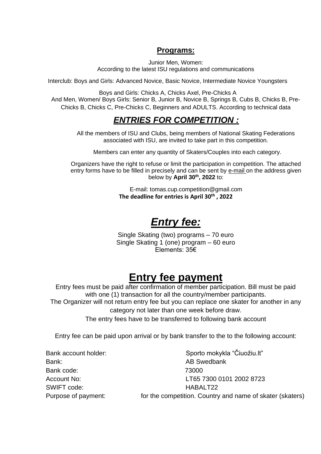#### **Programs:**

Junior Men, Women: According to the latest ISU regulations and communications

Interclub: Boys and Girls: Advanced Novice, Basic Novice, Intermediate Novice Youngsters

Boys and Girls: Chicks A, Chicks Axel, Pre-Chicks A And Men, Women/ Boys Girls: Senior B, Junior B, Novice B, Springs B, Cubs B, Chicks B, Pre-Chicks B, Chicks C, Pre-Chicks C, Beginners and ADULTS. According to technical data

### *ENTRIES FOR COMPETITION :*

All the members of ISU and Clubs, being members of National Skating Federations associated with ISU, are invited to take part in this competition.

Members can enter any quantity of Skaters/Couples into each category.

Organizers have the right to refuse or limit the participation in competition. The attached entry forms have to be filled in precisely and can be sent by e-mail on the address given below by **April 30th, 2022** to:

> E-mail: tomas.cup.competition@gmail.com **The deadline for entries is April 30th , 2022**

# *Entry fee:*

Single Skating (two) programs – 70 euro Single Skating 1 (one) program – 60 euro Elements: 35€

# **Entry fee payment**

Entry fees must be paid after confirmation of member participation. Bill must be paid with one (1) transaction for all the country/member participants.

The Organizer will not return entry fee but you can replace one skater for another in any category not later than one week before draw.

The entry fees have to be transferred to following bank account

Entry fee can be paid upon arrival or by bank transfer to the to the following account:

Bank: Bank: Bank: AB Swedbank Bank code: 73000 SWIFT code: SWIFT code:

Bank account holder: Sporto mokykla "Čiuožiu.lt" Account No: LT65 7300 0101 2002 8723 Purpose of payment: for the competition. Country and name of skater (skaters)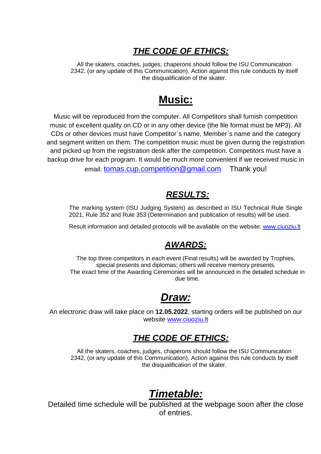## *THE CODE OF ETHICS:*

All the skaters, coaches, judges, chaperons should follow the ISU Communication 2342, (or any update of this Communication). Action against this rule conducts by itself the disqualification of the skater.

# **Music:**

Music will be reproduced from the computer. All Competitors shall furnish competition music of excellent quality on CD or in any other device (the file format must be MP3). All CDs or other devices must have Competitor`s name, Member`s name and the category and segment written on them. The competition music must be given during the registration and picked up from the registration desk after the competition. Competitors must have a backup drive for each program. It would be much more convenient if we received music in email: tomas.cup.competition@gmail.com Thank you!

### *RESULTS:*

The marking system (ISU Judging System) as described in ISU Technical Rule Single 2021, Rule 352 and Rule 353 (Determination and publication of results) will be used.

Result information and detailed protocols will be avaliable on the website: [www.ciuoziu.lt](http://www.ciuoziu.lt/)

### *AWARDS:*

The top three competitors in each event (Final results) will be awarded by Trophies, special presents and diplomas; others will receive memory presents. The exact time of the Awarding Ceremonies will be announced in the detailed schedule in due time.

# *Draw:*

An electronic draw will take place on **12.05.2022**, starting orders will be published on our website [www.ciuoziu.lt](http://www.ciuoziu.lt/)

## *THE CODE OF ETHICS:*

All the skaters, coaches, judges, chaperons should follow the ISU Communication 2342, (or any update of this Communication). Action against this rule conducts by itself the disqualification of the skater.

# *Timetable:*

Detailed time schedule will be published at the webpage soon after the close of entries.